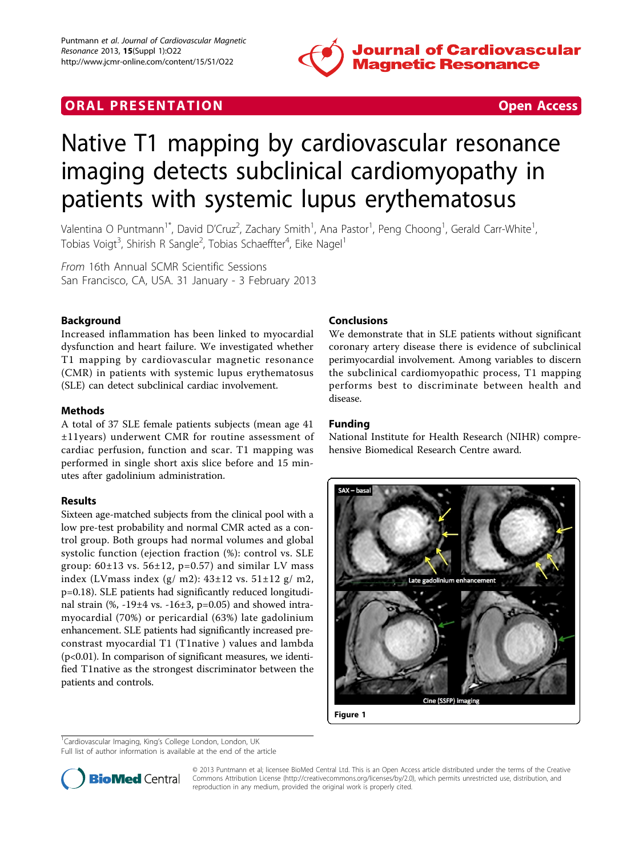

# **ORAL PRESENTATION ORAL PRESENTATION**

# Native T1 mapping by cardiovascular resonance imaging detects subclinical cardiomyopathy in patients with systemic lupus erythematosus

Valentina O Puntmann<sup>1\*</sup>, David D'Cruz<sup>2</sup>, Zachary Smith<sup>1</sup>, Ana Pastor<sup>1</sup>, Peng Choong<sup>1</sup>, Gerald Carr-White<sup>1</sup> , Tobias Voigt<sup>3</sup>, Shirish R Sangle<sup>2</sup>, Tobias Schaeffter<sup>4</sup>, Eike Nagel<sup>1</sup>

From 16th Annual SCMR Scientific Sessions San Francisco, CA, USA. 31 January - 3 February 2013

## Background

Increased inflammation has been linked to myocardial dysfunction and heart failure. We investigated whether T1 mapping by cardiovascular magnetic resonance (CMR) in patients with systemic lupus erythematosus (SLE) can detect subclinical cardiac involvement.

#### Methods

A total of 37 SLE female patients subjects (mean age 41 ±11years) underwent CMR for routine assessment of cardiac perfusion, function and scar. T1 mapping was performed in single short axis slice before and 15 minutes after gadolinium administration.

#### Results

Sixteen age-matched subjects from the clinical pool with a low pre-test probability and normal CMR acted as a control group. Both groups had normal volumes and global systolic function (ejection fraction (%): control vs. SLE group:  $60\pm13$  vs.  $56\pm12$ , p=0.57) and similar LV mass index (LVmass index  $(g/m2)$ :  $43\pm12$  vs.  $51\pm12$  g/m2, p=0.18). SLE patients had significantly reduced longitudinal strain  $(\%$ , -19 $\pm$ 4 vs. -16 $\pm$ 3, p=0.05) and showed intramyocardial (70%) or pericardial (63%) late gadolinium enhancement. SLE patients had significantly increased preconstrast myocardial T1 (T1native ) values and lambda (p<0.01). In comparison of significant measures, we identified T1native as the strongest discriminator between the patients and controls.

### Conclusions

We demonstrate that in SLE patients without significant coronary artery disease there is evidence of subclinical perimyocardial involvement. Among variables to discern the subclinical cardiomyopathic process, T1 mapping performs best to discriminate between health and disease.

#### Funding

National Institute for Health Research (NIHR) comprehensive Biomedical Research Centre award.



<sup>1</sup>Cardiovascular Imaging, King's College London, London, UK

Full list of author information is available at the end of the article



© 2013 Puntmann et al; licensee BioMed Central Ltd. This is an Open Access article distributed under the terms of the Creative Commons Attribution License [\(http://creativecommons.org/licenses/by/2.0](http://creativecommons.org/licenses/by/2.0)), which permits unrestricted use, distribution, and reproduction in any medium, provided the original work is properly cited.